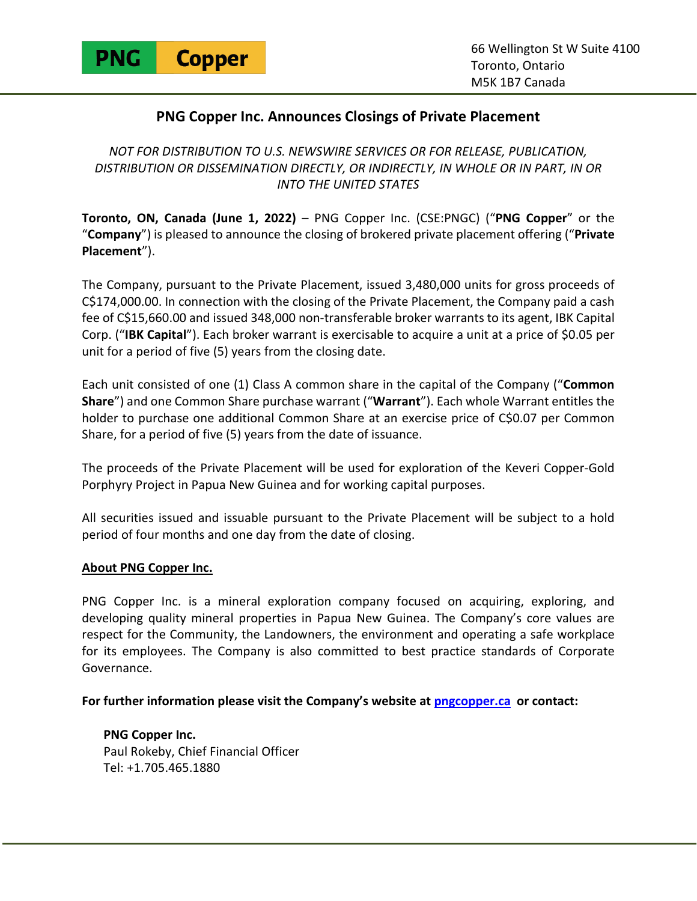

## **PNG Copper Inc. Announces Closings of Private Placement**

*NOT FOR DISTRIBUTION TO U.S. NEWSWIRE SERVICES OR FOR RELEASE, PUBLICATION, DISTRIBUTION OR DISSEMINATION DIRECTLY, OR INDIRECTLY, IN WHOLE OR IN PART, IN OR INTO THE UNITED STATES* 

**Toronto, ON, Canada (June 1, 2022)** – PNG Copper Inc. (CSE:PNGC) ("**PNG Copper**" or the "**Company**") is pleased to announce the closing of brokered private placement offering ("**Private Placement**").

The Company, pursuant to the Private Placement, issued 3,480,000 units for gross proceeds of C\$174,000.00. In connection with the closing of the Private Placement, the Company paid a cash fee of C\$15,660.00 and issued 348,000 non-transferable broker warrants to its agent, IBK Capital Corp. ("**IBK Capital**"). Each broker warrant is exercisable to acquire a unit at a price of \$0.05 per unit for a period of five (5) years from the closing date.

Each unit consisted of one (1) Class A common share in the capital of the Company ("**Common Share**") and one Common Share purchase warrant ("**Warrant**"). Each whole Warrant entitles the holder to purchase one additional Common Share at an exercise price of C\$0.07 per Common Share, for a period of five (5) years from the date of issuance.

The proceeds of the Private Placement will be used for exploration of the Keveri Copper-Gold Porphyry Project in Papua New Guinea and for working capital purposes.

All securities issued and issuable pursuant to the Private Placement will be subject to a hold period of four months and one day from the date of closing.

## **About PNG Copper Inc.**

PNG Copper Inc. is a mineral exploration company focused on acquiring, exploring, and developing quality mineral properties in Papua New Guinea. The Company's core values are respect for the Community, the Landowners, the environment and operating a safe workplace for its employees. The Company is also committed to best practice standards of Corporate Governance.

**For further information please visit the Company's website at pngcopper.ca or contact:** 

**PNG Copper Inc.**  Paul Rokeby, Chief Financial Officer Tel: +1.705.465.1880